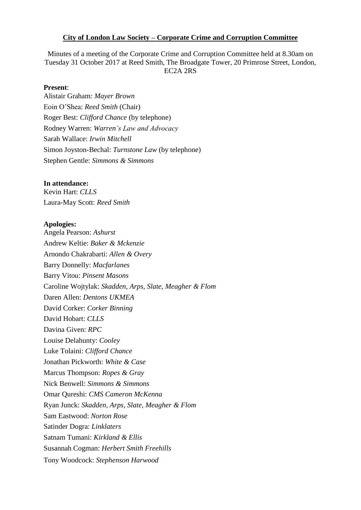## **City of London Law Society – Corporate Crime and Corruption Committee**

Minutes of a meeting of the Corporate Crime and Corruption Committee held at 8.30am on Tuesday 31 October 2017 at Reed Smith, The Broadgate Tower, 20 Primrose Street, London, EC2A 2RS

## **Present**:

Alistair Graham: *Mayer Brown* Eoin O'Shea: *Reed Smith* (Chair) Roger Best: *Clifford Chance* (by telephone) Rodney Warren: *Warren's Law and Advocacy*  Sarah Wallace: *Irwin Mitchell* Simon Joyston-Bechal: *Turnstone Law* (by telephone) Stephen Gentle: *Simmons & Simmons*

### **In attendance:**

Kevin Hart: *CLLS* Laura-May Scott: *Reed Smith*

#### **Apologies:**

Angela Pearson: *Ashurst* Andrew Keltie: *Baker & Mckenzie* Arnondo Chakrabarti: *Allen & Overy* Barry Donnelly: *Macfarlanes* Barry Vitou: *Pinsent Masons* Caroline Wojtylak: *Skadden, Arps, Slate, Meagher & Flom* Daren Allen: *Dentons UKMEA*  David Corker: *Corker Binning* David Hobart: *CLLS* Davina Given: *RPC* Louise Delahunty: *Cooley* Luke Tolaini: *Clifford Chance* Jonathan Pickworth: *White & Case* Marcus Thompson: *Ropes & Gray* Nick Benwell: *Simmons & Simmons* Omar Qureshi: *CMS Cameron McKenna* Ryan Junck: *Skadden, Arps, Slate, Meagher & Flom* Sam Eastwood: *Norton Rose* Satinder Dogra: *Linklaters* Satnam Tumani: *Kirkland & Ellis* Susannah Cogman: *Herbert Smith Freehills*  Tony Woodcock: *Stephenson Harwood*